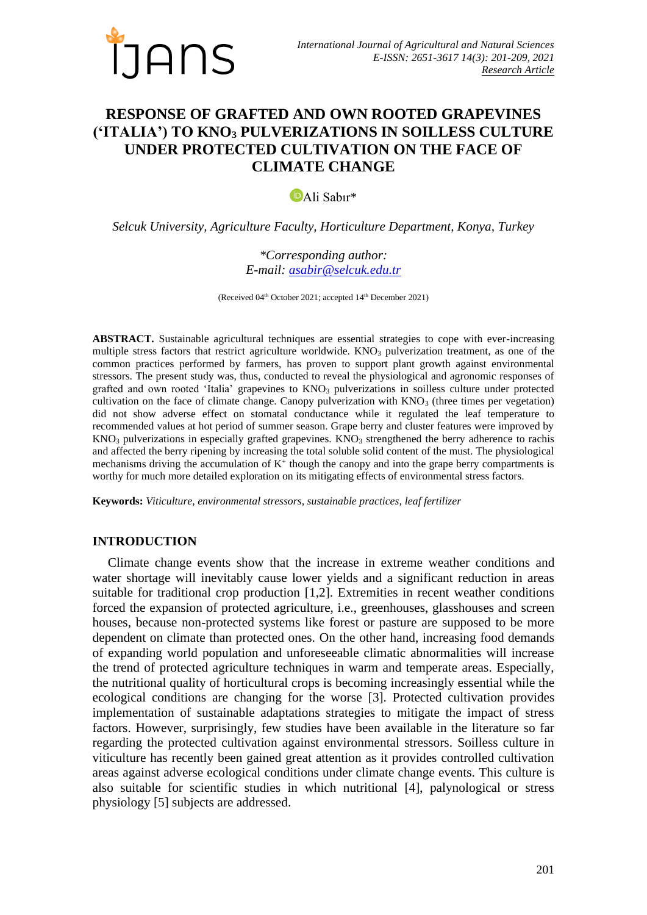

# **RESPONSE OF GRAFTED AND OWN ROOTED GRAPEVINES ('ITALIA') TO KNO<sup>3</sup> PULVERIZATIONS IN SOILLESS CULTURE UNDER PROTECTED CULTIVATION ON THE FACE OF CLIMATE CHANGE**

[A](https://orcid.org/0000-0003-1596-9327)li Sabır\*

*Selcuk University, Agriculture Faculty, Horticulture Department, Konya, Turkey*

*\*Corresponding author: E-mail: [asabir@selcuk.edu.tr](mailto:asabir@selcuk.edu.tr)*

(Received 04<sup>th</sup> October 2021; accepted 14<sup>th</sup> December 2021)

**ABSTRACT.** Sustainable agricultural techniques are essential strategies to cope with ever-increasing multiple stress factors that restrict agriculture worldwide.  $KNO<sub>3</sub>$  pulverization treatment, as one of the common practices performed by farmers, has proven to support plant growth against environmental stressors. The present study was, thus, conducted to reveal the physiological and agronomic responses of grafted and own rooted 'Italia' grapevines to KNO<sub>3</sub> pulverizations in soilless culture under protected cultivation on the face of climate change. Canopy pulverization with  $KNO<sub>3</sub>$  (three times per vegetation) did not show adverse effect on stomatal conductance while it regulated the leaf temperature to recommended values at hot period of summer season. Grape berry and cluster features were improved by  $KNO<sub>3</sub>$  pulverizations in especially grafted grapevines. KNO<sub>3</sub> strengthened the berry adherence to rachis and affected the berry ripening by increasing the total soluble solid content of the must. The physiological mechanisms driving the accumulation of  $K^+$  though the canopy and into the grape berry compartments is worthy for much more detailed exploration on its mitigating effects of environmental stress factors.

**Keywords:** *Viticulture, environmental stressors, sustainable practices, leaf fertilizer*

### **INTRODUCTION**

Climate change events show that the increase in extreme weather conditions and water shortage will inevitably cause lower yields and a significant reduction in areas suitable for traditional crop production [1,2]. Extremities in recent weather conditions forced the expansion of protected agriculture, i.e., greenhouses, glasshouses and screen houses, because non-protected systems like forest or pasture are supposed to be more dependent on climate than protected ones. On the other hand, increasing food demands of expanding world population and unforeseeable climatic abnormalities will increase the trend of protected agriculture techniques in warm and temperate areas. Especially, the nutritional quality of horticultural crops is becoming increasingly essential while the ecological conditions are changing for the worse [3]. Protected cultivation provides implementation of sustainable adaptations strategies to mitigate the impact of stress factors. However, surprisingly, few studies have been available in the literature so far regarding the protected cultivation against environmental stressors. Soilless culture in viticulture has recently been gained great attention as it provides controlled cultivation areas against adverse ecological conditions under climate change events. This culture is also suitable for scientific studies in which nutritional [4], palynological or stress physiology [5] subjects are addressed.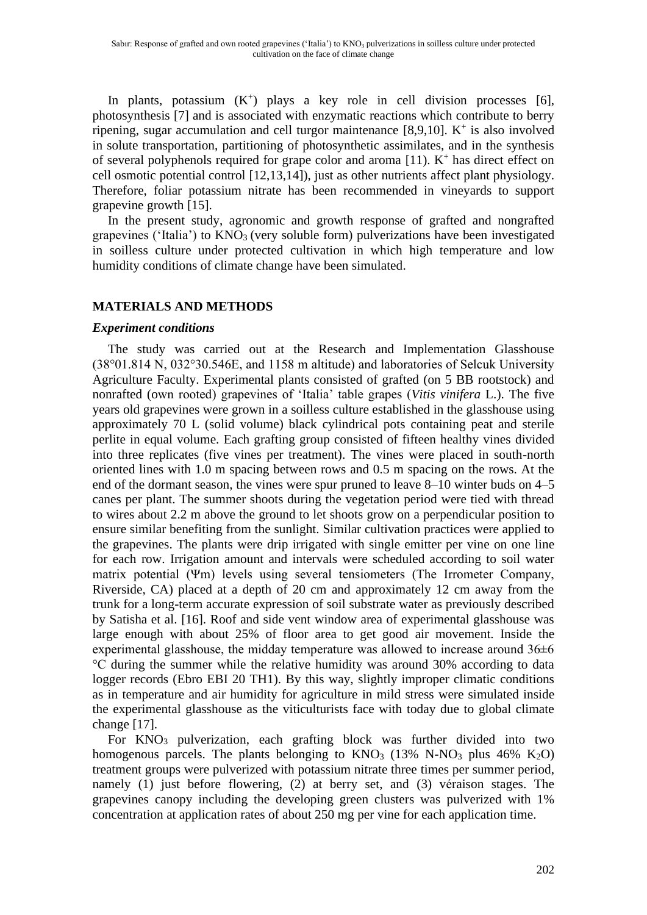In plants, potassium  $(K^+)$  plays a key role in cell division processes [6], photosynthesis [7] and is associated with enzymatic reactions which contribute to berry ripening, sugar accumulation and cell turgor maintenance  $[8,9,10]$ . K<sup>+</sup> is also involved in solute transportation, partitioning of photosynthetic assimilates, and in the synthesis of several polyphenols required for grape color and aroma  $[11]$ .  $K^+$  has direct effect on cell osmotic potential control [12,13,14]), just as other nutrients affect plant physiology. Therefore, foliar potassium nitrate has been recommended in vineyards to support grapevine growth [15].

In the present study, agronomic and growth response of grafted and nongrafted grapevines ('Italia') to  $KNO<sub>3</sub>$  (very soluble form) pulverizations have been investigated in soilless culture under protected cultivation in which high temperature and low humidity conditions of climate change have been simulated.

## **MATERIALS AND METHODS**

#### *Experiment conditions*

The study was carried out at the Research and Implementation Glasshouse (38°01.814 N, 032°30.546E, and 1158 m altitude) and laboratories of Selcuk University Agriculture Faculty. Experimental plants consisted of grafted (on 5 BB rootstock) and nonrafted (own rooted) grapevines of 'Italia' table grapes (*Vitis vinifera* L.). The five years old grapevines were grown in a soilless culture established in the glasshouse using approximately 70 L (solid volume) black cylindrical pots containing peat and sterile perlite in equal volume. Each grafting group consisted of fifteen healthy vines divided into three replicates (five vines per treatment). The vines were placed in south-north oriented lines with 1.0 m spacing between rows and 0.5 m spacing on the rows. At the end of the dormant season, the vines were spur pruned to leave 8–10 winter buds on 4–5 canes per plant. The summer shoots during the vegetation period were tied with thread to wires about 2.2 m above the ground to let shoots grow on a perpendicular position to ensure similar benefiting from the sunlight. Similar cultivation practices were applied to the grapevines. The plants were drip irrigated with single emitter per vine on one line for each row. Irrigation amount and intervals were scheduled according to soil water matrix potential (Ψm) levels using several tensiometers (The Irrometer Company, Riverside, CA) placed at a depth of 20 cm and approximately 12 cm away from the trunk for a long-term accurate expression of soil substrate water as previously described by Satisha et al. [16]. Roof and side vent window area of experimental glasshouse was large enough with about 25% of floor area to get good air movement. Inside the experimental glasshouse, the midday temperature was allowed to increase around  $36\pm6$ °C during the summer while the relative humidity was around 30% according to data logger records (Ebro EBI 20 TH1). By this way, slightly improper climatic conditions as in temperature and air humidity for agriculture in mild stress were simulated inside the experimental glasshouse as the viticulturists face with today due to global climate change [17].

For  $KNO<sub>3</sub>$  pulverization, each grafting block was further divided into two homogenous parcels. The plants belonging to  $KNO_3$  (13% N-NO<sub>3</sub> plus 46% K<sub>2</sub>O) treatment groups were pulverized with potassium nitrate three times per summer period, namely (1) just before flowering, (2) at berry set, and (3) véraison stages. The grapevines canopy including the developing green clusters was pulverized with 1% concentration at application rates of about 250 mg per vine for each application time.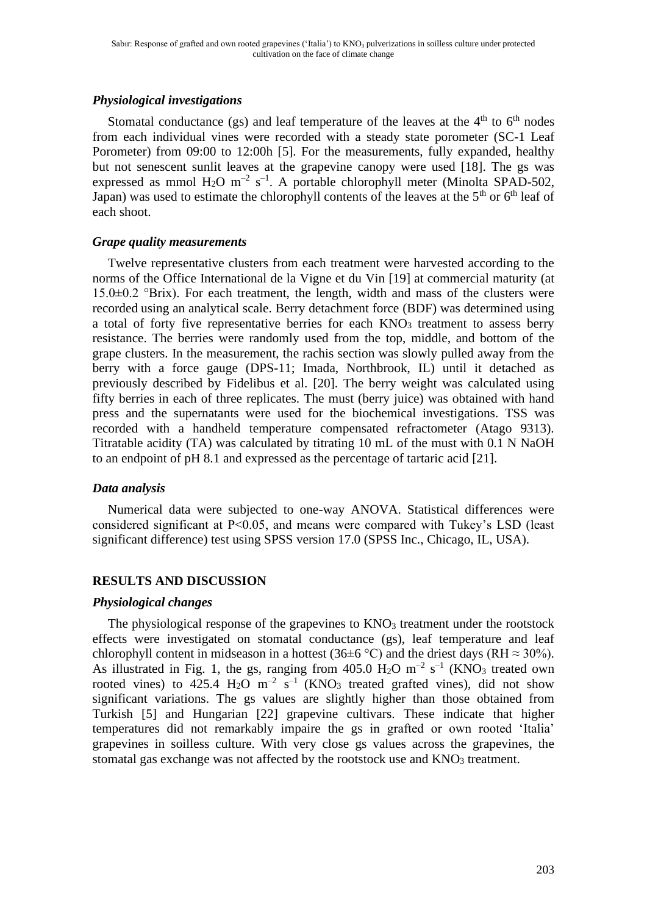## *Physiological investigations*

Stomatal conductance (gs) and leaf temperature of the leaves at the  $4<sup>th</sup>$  to  $6<sup>th</sup>$  nodes from each individual vines were recorded with a steady state porometer (SC-1 Leaf Porometer) from 09:00 to 12:00h [5]. For the measurements, fully expanded, healthy but not senescent sunlit leaves at the grapevine canopy were used [18]. The gs was expressed as mmol  $H_2O$  m<sup>-2</sup> s<sup>-1</sup>. A portable chlorophyll meter (Minolta SPAD-502, Japan) was used to estimate the chlorophyll contents of the leaves at the  $5<sup>th</sup>$  or  $6<sup>th</sup>$  leaf of each shoot.

#### *Grape quality measurements*

Twelve representative clusters from each treatment were harvested according to the norms of the Office International de la Vigne et du Vin [19] at commercial maturity (at  $15.0\pm0.2$  °Brix). For each treatment, the length, width and mass of the clusters were recorded using an analytical scale. Berry detachment force (BDF) was determined using a total of forty five representative berries for each KNO<sub>3</sub> treatment to assess berry resistance. The berries were randomly used from the top, middle, and bottom of the grape clusters. In the measurement, the rachis section was slowly pulled away from the berry with a force gauge (DPS-11; Imada, Northbrook, IL) until it detached as previously described by Fidelibus et al. [20]. The berry weight was calculated using fifty berries in each of three replicates. The must (berry juice) was obtained with hand press and the supernatants were used for the biochemical investigations. TSS was recorded with a handheld temperature compensated refractometer (Atago 9313). Titratable acidity (TA) was calculated by titrating 10 mL of the must with 0.1 N NaOH to an endpoint of pH 8.1 and expressed as the percentage of tartaric acid [21].

#### *Data analysis*

Numerical data were subjected to one-way ANOVA. Statistical differences were considered significant at P<0.05, and means were compared with Tukey's LSD (least significant difference) test using SPSS version 17.0 (SPSS Inc., Chicago, IL, USA).

#### **RESULTS AND DISCUSSION**

#### *Physiological changes*

The physiological response of the grapevines to  $KNO<sub>3</sub>$  treatment under the rootstock effects were investigated on stomatal conductance (gs), leaf temperature and leaf chlorophyll content in midseason in a hottest (36±6 °C) and the driest days (RH  $\approx$  30%). As illustrated in Fig. 1, the gs, ranging from  $405.0 \text{ H}_2\text{O} \text{ m}^{-2} \text{ s}^{-1}$  (KNO<sub>3</sub> treated own rooted vines) to 425.4  $H_2O$  m<sup>-2</sup> s<sup>-1</sup> (KNO<sub>3</sub> treated grafted vines), did not show significant variations. The gs values are slightly higher than those obtained from Turkish [5] and Hungarian [22] grapevine cultivars. These indicate that higher temperatures did not remarkably impaire the gs in grafted or own rooted 'Italia' grapevines in soilless culture. With very close gs values across the grapevines, the stomatal gas exchange was not affected by the rootstock use and  $KNO<sub>3</sub>$  treatment.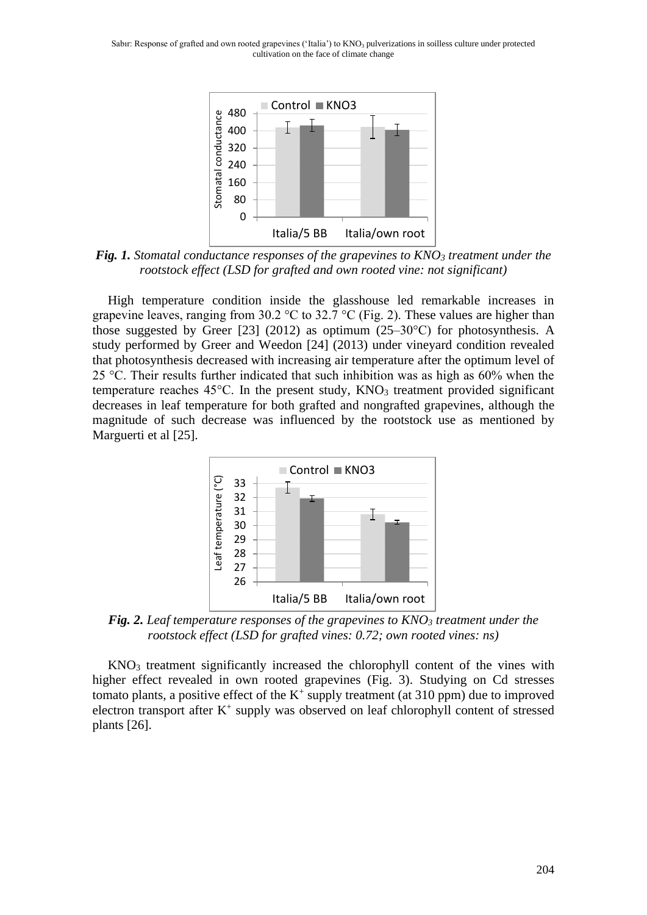

*Fig. 1. Stomatal conductance responses of the grapevines to KNO<sup>3</sup> treatment under the rootstock effect (LSD for grafted and own rooted vine: not significant)*

High temperature condition inside the glasshouse led remarkable increases in grapevine leaves, ranging from 30.2 °C to 32.7 °C (Fig. 2). These values are higher than those suggested by Greer [23] (2012) as optimum (25–30 $^{\circ}$ C) for photosynthesis. A study performed by Greer and Weedon [24] (2013) under vineyard condition revealed that photosynthesis decreased with increasing air temperature after the optimum level of 25 °C. Their results further indicated that such inhibition was as high as 60% when the temperature reaches  $45^{\circ}$ C. In the present study,  $KNO<sub>3</sub>$  treatment provided significant decreases in leaf temperature for both grafted and nongrafted grapevines, although the magnitude of such decrease was influenced by the rootstock use as mentioned by Marguerti et al [25].



*Fig. 2. Leaf temperature responses of the grapevines to KNO<sup>3</sup> treatment under the rootstock effect (LSD for grafted vines: 0.72; own rooted vines: ns)*

KNO<sup>3</sup> treatment significantly increased the chlorophyll content of the vines with higher effect revealed in own rooted grapevines (Fig. 3). Studying on Cd stresses tomato plants, a positive effect of the  $K^+$  supply treatment (at 310 ppm) due to improved electron transport after  $K^+$  supply was observed on leaf chlorophyll content of stressed plants [26].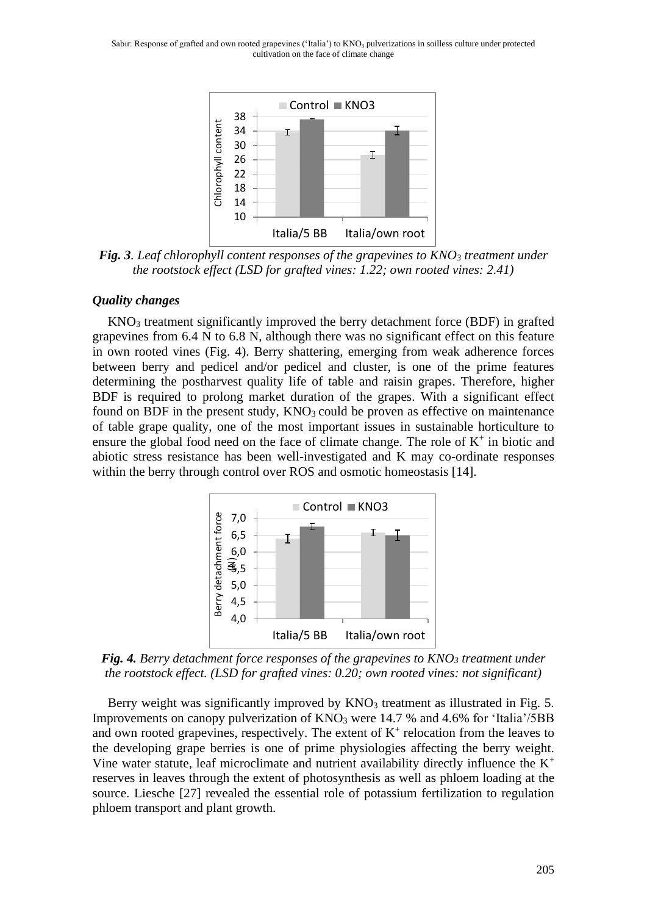Sabır: Response of grafted and own rooted grapevines ('Italia') to  $KNO_3$  pulverizations in soilless culture under protected cultivation on the face of climate change



*Fig. 3. Leaf chlorophyll content responses of the grapevines to KNO<sup>3</sup> treatment under the rootstock effect (LSD for grafted vines: 1.22; own rooted vines: 2.41)*

#### *Quality changes*

 $KNO<sub>3</sub>$  treatment significantly improved the berry detachment force (BDF) in grafted grapevines from 6.4 N to 6.8 N, although there was no significant effect on this feature in own rooted vines (Fig. 4). Berry shattering, emerging from weak adherence forces between berry and pedicel and/or pedicel and cluster, is one of the prime features determining the postharvest quality life of table and raisin grapes. Therefore, higher BDF is required to prolong market duration of the grapes. With a significant effect found on BDF in the present study,  $KNO<sub>3</sub>$  could be proven as effective on maintenance of table grape quality, one of the most important issues in sustainable horticulture to ensure the global food need on the face of climate change. The role of  $K^+$  in biotic and abiotic stress resistance has been well-investigated and K may co-ordinate responses within the berry through control over ROS and osmotic homeostasis [14].



*Fig. 4. Berry detachment force responses of the grapevines to KNO<sup>3</sup> treatment under the rootstock effect. (LSD for grafted vines: 0.20; own rooted vines: not significant)*

Berry weight was significantly improved by KNO<sub>3</sub> treatment as illustrated in Fig. 5. Improvements on canopy pulverization of  $KNO_3$  were 14.7 % and 4.6% for 'Italia'/5BB and own rooted grapevines, respectively. The extent of  $K^+$  relocation from the leaves to the developing grape berries is one of prime physiologies affecting the berry weight. Vine water statute, leaf microclimate and nutrient availability directly influence the  $K^+$ reserves in leaves through the extent of photosynthesis as well as phloem loading at the source. Liesche [27] revealed the essential role of potassium fertilization to regulation phloem transport and plant growth.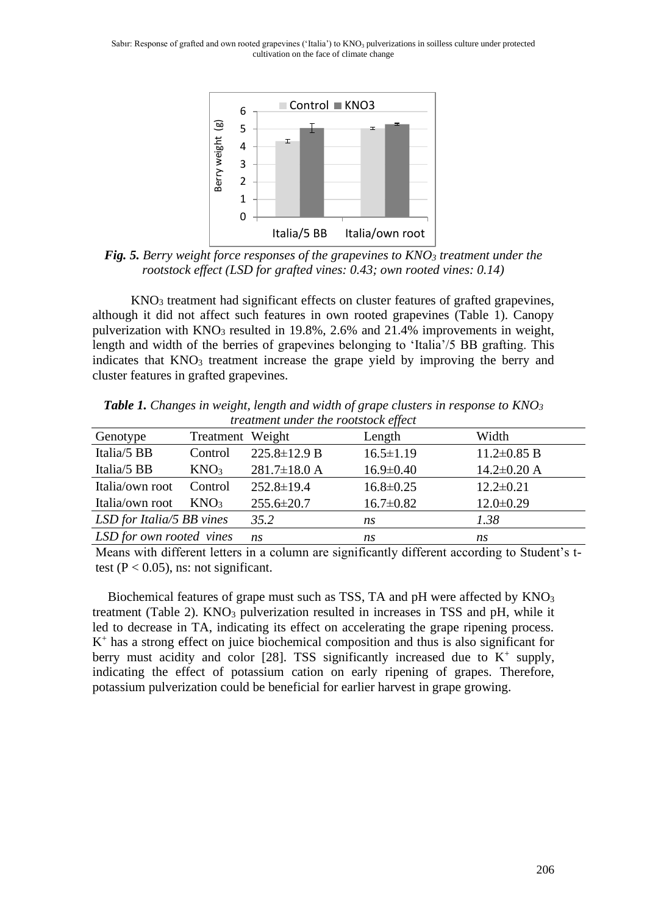Sabir: Response of grafted and own rooted grapevines ('Italia') to  $KNO_3$  pulverizations in soilless culture under protected cultivation on the face of climate change



*Fig. 5. Berry weight force responses of the grapevines to KNO<sup>3</sup> treatment under the rootstock effect (LSD for grafted vines: 0.43; own rooted vines: 0.14)*

KNO<sup>3</sup> treatment had significant effects on cluster features of grafted grapevines, although it did not affect such features in own rooted grapevines (Table 1). Canopy pulverization with KNO<sup>3</sup> resulted in 19.8%, 2.6% and 21.4% improvements in weight, length and width of the berries of grapevines belonging to 'Italia'/5 BB grafting. This indicates that KNO<sub>3</sub> treatment increase the grape yield by improving the berry and cluster features in grafted grapevines.

| <i>n</i> cannoni mach me roomroch c <sub>ll</sub> eer |                  |                    |                 |                   |  |  |
|-------------------------------------------------------|------------------|--------------------|-----------------|-------------------|--|--|
| Genotype                                              | Treatment Weight |                    | Length          | Width             |  |  |
| Italia/5 BB                                           | Control          | $225.8 \pm 12.9 B$ | $16.5 \pm 1.19$ | $11.2 \pm 0.85$ B |  |  |
| Italia/5 BB                                           | KNO <sub>3</sub> | $281.7 \pm 18.0$ A | $16.9 \pm 0.40$ | $14.2 \pm 0.20$ A |  |  |
| Italia/own root                                       | Control          | $252.8 \pm 19.4$   | $16.8 \pm 0.25$ | $12.2 \pm 0.21$   |  |  |
| Italia/own root                                       | KNO <sub>3</sub> | $255.6 \pm 20.7$   | $16.7 \pm 0.82$ | $12.0 \pm 0.29$   |  |  |
| LSD for Italia/5 BB vines                             |                  | 35.2               | ns              | 1.38              |  |  |
| LSD for own rooted vines                              |                  | ns                 | ns              | ns                |  |  |
|                                                       |                  |                    |                 |                   |  |  |

*Table 1. Changes in weight, length and width of grape clusters in response to KNO<sup>3</sup> treatment under the rootstock effect*

Means with different letters in a column are significantly different according to Student's ttest ( $P < 0.05$ ), ns: not significant.

Biochemical features of grape must such as TSS, TA and  $pH$  were affected by  $KNO_3$ treatment (Table 2). KNO<sub>3</sub> pulverization resulted in increases in TSS and pH, while it led to decrease in TA, indicating its effect on accelerating the grape ripening process. K + has a strong effect on juice biochemical composition and thus is also significant for berry must acidity and color [28]. TSS significantly increased due to  $K^+$  supply, indicating the effect of potassium cation on early ripening of grapes. Therefore, potassium pulverization could be beneficial for earlier harvest in grape growing.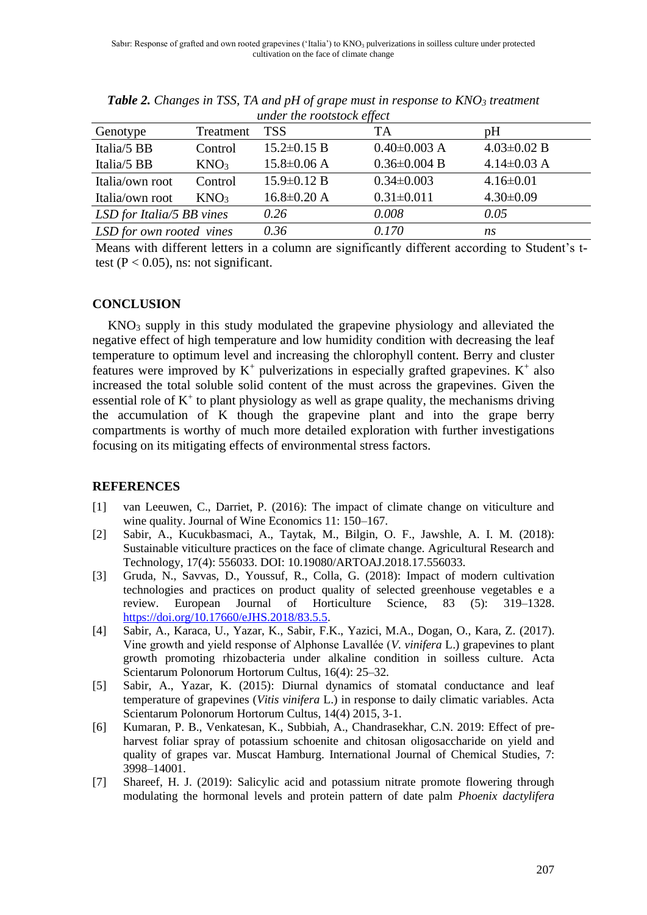| under the rootstock ещест   |                  |                   |                    |                   |  |  |  |
|-----------------------------|------------------|-------------------|--------------------|-------------------|--|--|--|
| Genotype                    | Treatment        | <b>TSS</b>        | TA                 | pH                |  |  |  |
| Italia/5 BB                 | Control          | $15.2 \pm 0.15$ B | $0.40\pm0.003$ A   | $4.03 \pm 0.02$ B |  |  |  |
| Italia/5 BB                 | KNO <sub>3</sub> | $15.8 \pm 0.06$ A | $0.36 \pm 0.004$ B | $4.14\pm0.03$ A   |  |  |  |
| Italia/own root             | Control          | $15.9 \pm 0.12 B$ | $0.34 \pm 0.003$   | $4.16 \pm 0.01$   |  |  |  |
| Italia/own root             | KNO <sub>3</sub> | $16.8 \pm 0.20$ A | $0.31 \pm 0.011$   | $4.30 \pm 0.09$   |  |  |  |
| $LSD$ for Italia/5 BB vines |                  | 0.26              | 0.008              | 0.05              |  |  |  |
| LSD for own rooted vines    |                  | 0.36              | 0.170              | ns                |  |  |  |
|                             |                  |                   |                    |                   |  |  |  |

*Table 2. Changes in TSS, TA and pH of grape must in response to KNO<sup>3</sup> treatment under the rootstock effect*

Means with different letters in a column are significantly different according to Student's ttest ( $P < 0.05$ ), ns: not significant.

## **CONCLUSION**

KNO<sup>3</sup> supply in this study modulated the grapevine physiology and alleviated the negative effect of high temperature and low humidity condition with decreasing the leaf temperature to optimum level and increasing the chlorophyll content. Berry and cluster features were improved by  $K^+$  pulverizations in especially grafted grapevines.  $K^+$  also increased the total soluble solid content of the must across the grapevines. Given the essential role of  $K^+$  to plant physiology as well as grape quality, the mechanisms driving the accumulation of K though the grapevine plant and into the grape berry compartments is worthy of much more detailed exploration with further investigations focusing on its mitigating effects of environmental stress factors.

#### **REFERENCES**

- [1] van Leeuwen, C., Darriet, P. (2016): The impact of climate change on viticulture and wine quality. Journal of Wine Economics 11: 150–167.
- [2] Sabir, A., Kucukbasmaci, A., Taytak, M., Bilgin, O. F., Jawshle, A. I. M. (2018): Sustainable viticulture practices on the face of climate change. Agricultural Research and Technology, 17(4): 556033. DOI: 10.19080/ARTOAJ.2018.17.556033.
- [3] Gruda, N., Savvas, D., Youssuf, R., Colla, G. (2018): Impact of modern cultivation technologies and practices on product quality of selected greenhouse vegetables e a review. European Journal of Horticulture Science, 83 (5): 319–1328. [https://doi.org/10.17660/eJHS.2018/83.5.5.](https://doi.org/10.17660/eJHS.2018/83.5.5)
- [4] Sabir, A., Karaca, U., Yazar, K., Sabir, F.K., Yazici, M.A., Dogan, O., Kara, Z. (2017). Vine growth and yield response of Alphonse Lavallée (*V. vinifera* L.) grapevines to plant growth promoting rhizobacteria under alkaline condition in soilless culture. Acta Scientarum Polonorum Hortorum Cultus, 16(4): 25–32.
- [5] Sabir, A., Yazar, K. (2015): Diurnal dynamics of stomatal conductance and leaf temperature of grapevines (*Vitis vinifera* L.) in response to daily climatic variables. Acta Scientarum Polonorum Hortorum Cultus, 14(4) 2015, 3-1.
- [6] Kumaran, P. B., Venkatesan, K., Subbiah, A., Chandrasekhar, C.N. 2019: Effect of preharvest foliar spray of potassium schoenite and chitosan oligosaccharide on yield and quality of grapes var. Muscat Hamburg. International Journal of Chemical Studies, 7: 3998–14001.
- [7] Shareef, H. J. (2019): Salicylic acid and potassium nitrate promote flowering through modulating the hormonal levels and protein pattern of date palm *Phoenix dactylifera*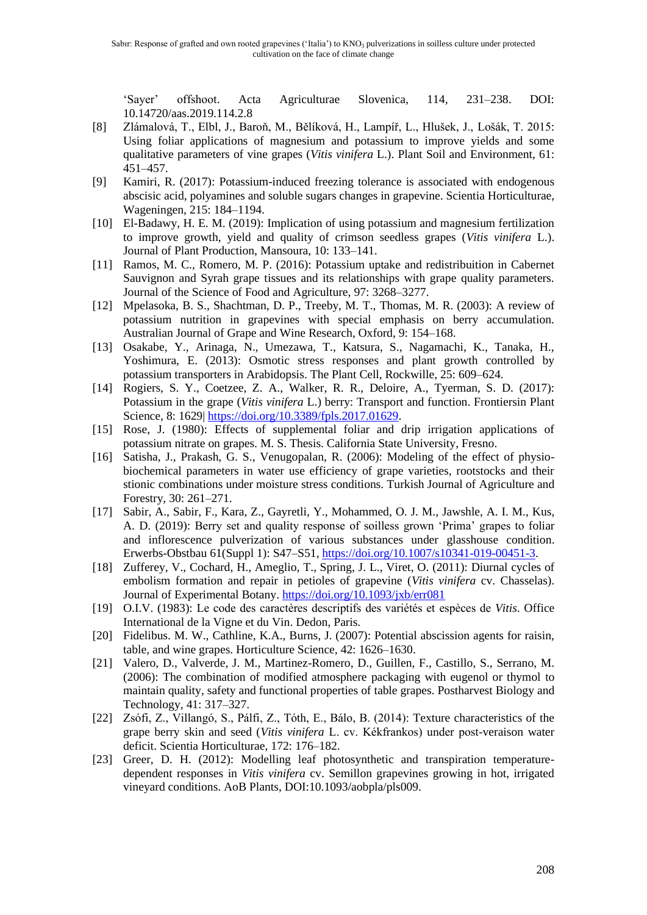'Sayer' offshoot. Acta Agriculturae Slovenica, 114, 231–238. DOI: 10.14720/aas.2019.114.2.8

- [8] Zlámalová, T., Elbl, J., Baroň, M., Bělíková, H., Lampíř, L., Hlušek, J., Lošák, T. 2015: Using foliar applications of magnesium and potassium to improve yields and some qualitative parameters of vine grapes (*Vitis vinifera* L.). Plant Soil and Environment, 61: 451–457.
- [9] Kamiri, R. (2017): Potassium-induced freezing tolerance is associated with endogenous abscisic acid, polyamines and soluble sugars changes in grapevine. Scientia Horticulturae, Wageningen, 215: 184–1194.
- [10] El-Badawy, H. E. M. (2019): Implication of using potassium and magnesium fertilization to improve growth, yield and quality of crimson seedless grapes (*Vitis vinifera* L.). Journal of Plant Production, Mansoura, 10: 133–141.
- [11] Ramos, M. C., Romero, M. P. (2016): Potassium uptake and redistribuition in Cabernet Sauvignon and Syrah grape tissues and its relationships with grape quality parameters. Journal of the Science of Food and Agriculture, 97: 3268–3277.
- [12] Mpelasoka, B. S., Shachtman, D. P., Treeby, M. T., Thomas, M. R. (2003): A review of potassium nutrition in grapevines with special emphasis on berry accumulation. Australian Journal of Grape and Wine Research, Oxford, 9: 154–168.
- [13] Osakabe, Y., Arinaga, N., Umezawa, T., Katsura, S., Nagamachi, K., Tanaka, H., Yoshimura, E. (2013): Osmotic stress responses and plant growth controlled by potassium transporters in Arabidopsis. The Plant Cell, Rockwille, 25: 609–624.
- [14] Rogiers, S. Y., Coetzee, Z. A., Walker, R. R., Deloire, A., Tyerman, S. D. (2017): Potassium in the grape (*Vitis vinifera* L.) berry: Transport and function. Frontiersin Plant Science, 8: 1629| [https://doi.org/10.3389/fpls.2017.01629.](https://doi.org/10.3389/fpls.2017.01629)
- [15] Rose, J. (1980): Effects of supplemental foliar and drip irrigation applications of potassium nitrate on grapes. M. S. Thesis. California State University, Fresno.
- [16] Satisha, J., Prakash, G. S., Venugopalan, R. (2006): Modeling of the effect of physiobiochemical parameters in water use efficiency of grape varieties, rootstocks and their stionic combinations under moisture stress conditions. Turkish Journal of Agriculture and Forestry, 30: 261–271.
- [17] Sabir, A., Sabir, F., Kara, Z., Gayretli, Y., Mohammed, O. J. M., Jawshle, A. I. M., Kus, A. D. (2019): Berry set and quality response of soilless grown 'Prima' grapes to foliar and inflorescence pulverization of various substances under glasshouse condition. Erwerbs-Obstbau 61(Suppl 1): S47–S51, [https://doi.org/10.1007/s10341-019-00451-3.](https://doi.org/10.1007/s10341-019-00451-3)
- [18] Zufferey, V., Cochard, H., Ameglio, T., Spring, J. L., Viret, O. (2011): Diurnal cycles of embolism formation and repair in petioles of grapevine (*Vitis vinifera* cv. Chasselas). Journal of Experimental Botany[. https://doi.org/10.1093/jxb/err081](https://doi.org/10.1093/jxb/err081)
- [19] O.I.V. (1983): Le code des caractères descriptifs des variétés et espèces de *Vitis*. Office International de la Vigne et du Vin. Dedon, Paris.
- [20] Fidelibus. M. W., Cathline, K.A., Burns, J. (2007): Potential abscission agents for raisin, table, and wine grapes. Horticulture Science, 42: 1626–1630.
- [21] Valero, D., Valverde, J. M., Martinez-Romero, D., Guillen, F., Castillo, S., Serrano, M. (2006): The combination of modified atmosphere packaging with eugenol or thymol to maintain quality, safety and functional properties of table grapes. Postharvest Biology and Technology, 41: 317–327.
- [22] Zsófi, Z., Villangó, S., Pálfi, Z., Tóth, E., Bálo, B. (2014): Texture characteristics of the grape berry skin and seed (*Vitis vinifera* L. cv. Kékfrankos) under post-veraison water deficit. Scientia Horticulturae, 172: 176–182.
- [23] Greer, D. H. (2012): Modelling leaf photosynthetic and transpiration temperaturedependent responses in *Vitis vinifera* cv. Semillon grapevines growing in hot, irrigated vineyard conditions. AoB Plants, DOI:10.1093/aobpla/pls009.